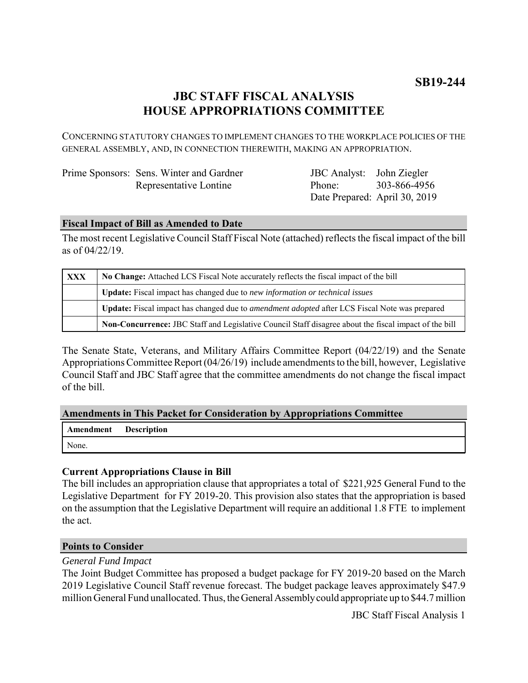# **JBC STAFF FISCAL ANALYSIS HOUSE APPROPRIATIONS COMMITTEE**

CONCERNING STATUTORY CHANGES TO IMPLEMENT CHANGES TO THE WORKPLACE POLICIES OF THE GENERAL ASSEMBLY, AND, IN CONNECTION THEREWITH, MAKING AN APPROPRIATION.

|  | Prime Sponsors: Sens. Winter and Gardner |
|--|------------------------------------------|
|  | Representative Lontine                   |

JBC Analyst: Phone: Date Prepared: April 30, 2019 John Ziegler 303-866-4956

### **Fiscal Impact of Bill as Amended to Date**

The most recent Legislative Council Staff Fiscal Note (attached) reflects the fiscal impact of the bill as of 04/22/19.

| <b>XXX</b> | No Change: Attached LCS Fiscal Note accurately reflects the fiscal impact of the bill                 |  |
|------------|-------------------------------------------------------------------------------------------------------|--|
|            | <b>Update:</b> Fiscal impact has changed due to new information or technical issues                   |  |
|            | Update: Fiscal impact has changed due to <i>amendment adopted</i> after LCS Fiscal Note was prepared  |  |
|            | Non-Concurrence: JBC Staff and Legislative Council Staff disagree about the fiscal impact of the bill |  |

The Senate State, Veterans, and Military Affairs Committee Report (04/22/19) and the Senate Appropriations Committee Report (04/26/19) include amendments to the bill, however, Legislative Council Staff and JBC Staff agree that the committee amendments do not change the fiscal impact of the bill.

#### **Amendments in This Packet for Consideration by Appropriations Committee**

|       | Amendment Description |
|-------|-----------------------|
| None. |                       |

## **Current Appropriations Clause in Bill**

The bill includes an appropriation clause that appropriates a total of \$221,925 General Fund to the Legislative Department for FY 2019-20. This provision also states that the appropriation is based on the assumption that the Legislative Department will require an additional 1.8 FTE to implement the act.

#### **Points to Consider**

#### *General Fund Impact*

The Joint Budget Committee has proposed a budget package for FY 2019-20 based on the March 2019 Legislative Council Staff revenue forecast. The budget package leaves approximately \$47.9 million General Fund unallocated. Thus, the General Assembly could appropriate up to \$44.7 million